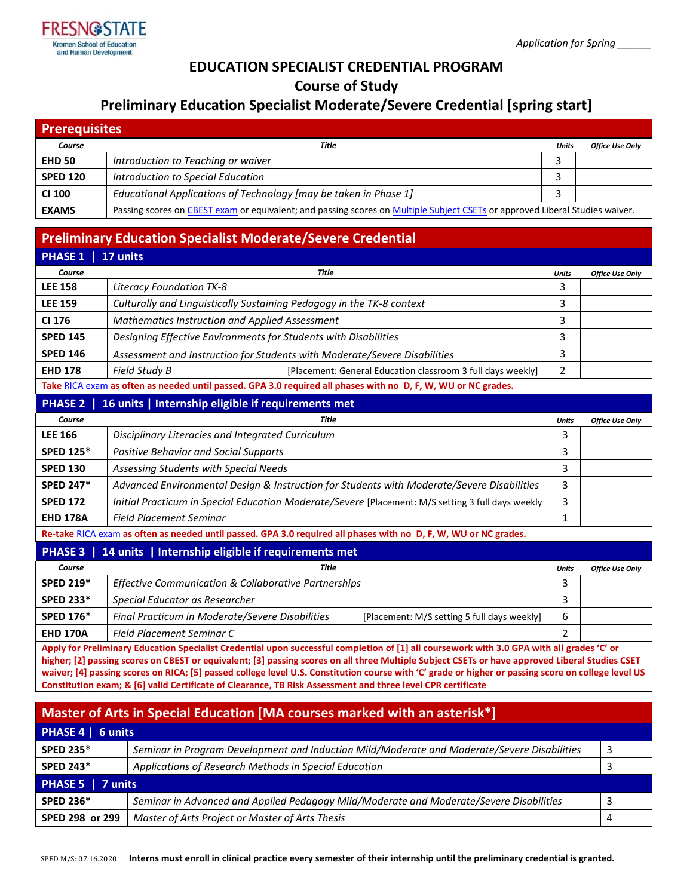

## **EDUCATION SPECIALIST CREDENTIAL PROGRAM**

**Course of Study**

# **Preliminary Education Specialist Moderate/Severe Credential [spring start]**

| <b>Prerequisites</b> |                                                                                                                              |       |                        |  |  |  |
|----------------------|------------------------------------------------------------------------------------------------------------------------------|-------|------------------------|--|--|--|
| Course               | Title                                                                                                                        | Units | <b>Office Use Only</b> |  |  |  |
| <b>EHD 50</b>        | Introduction to Teaching or waiver                                                                                           |       |                        |  |  |  |
| <b>SPED 120</b>      | Introduction to Special Education                                                                                            |       |                        |  |  |  |
| CI 100               | Educational Applications of Technology [may be taken in Phase 1]                                                             |       |                        |  |  |  |
| <b>EXAMS</b>         | Passing scores on CBEST exam or equivalent; and passing scores on Multiple Subject CSETs or approved Liberal Studies waiver. |       |                        |  |  |  |

# **Preliminary Education Specialist Moderate/Severe Credential**

| <b>PHASE 1</b>                                                                                                   | 17 units                                                                                          |                |                        |  |  |
|------------------------------------------------------------------------------------------------------------------|---------------------------------------------------------------------------------------------------|----------------|------------------------|--|--|
| Course                                                                                                           | <b>Title</b>                                                                                      | <b>Units</b>   | <b>Office Use Only</b> |  |  |
| <b>LEE 158</b>                                                                                                   | Literacy Foundation TK-8                                                                          | 3              |                        |  |  |
| <b>LEE 159</b>                                                                                                   | Culturally and Linguistically Sustaining Pedagogy in the TK-8 context                             | 3              |                        |  |  |
| CI 176                                                                                                           | Mathematics Instruction and Applied Assessment                                                    | 3              |                        |  |  |
| <b>SPED 145</b>                                                                                                  | Designing Effective Environments for Students with Disabilities                                   | 3              |                        |  |  |
| <b>SPED 146</b>                                                                                                  | Assessment and Instruction for Students with Moderate/Severe Disabilities                         | 3              |                        |  |  |
| <b>EHD 178</b>                                                                                                   | Field Study B<br>[Placement: General Education classroom 3 full days weekly]                      | $\overline{2}$ |                        |  |  |
| Take RICA exam as often as needed until passed. GPA 3.0 required all phases with no D, F, W, WU or NC grades.    |                                                                                                   |                |                        |  |  |
| PHASE 2   16 units   Internship eligible if requirements met                                                     |                                                                                                   |                |                        |  |  |
| Course                                                                                                           | <b>Title</b>                                                                                      | <b>Units</b>   | <b>Office Use Only</b> |  |  |
| <b>LEE 166</b>                                                                                                   | Disciplinary Literacies and Integrated Curriculum                                                 | 3              |                        |  |  |
| <b>SPED 125*</b>                                                                                                 | <b>Positive Behavior and Social Supports</b>                                                      | 3              |                        |  |  |
| <b>SPED 130</b>                                                                                                  | Assessing Students with Special Needs                                                             | 3              |                        |  |  |
| <b>SPED 247*</b>                                                                                                 | Advanced Environmental Design & Instruction for Students with Moderate/Severe Disabilities        | 3              |                        |  |  |
| <b>SPED 172</b>                                                                                                  | Initial Practicum in Special Education Moderate/Severe [Placement: M/S setting 3 full days weekly | 3              |                        |  |  |
| <b>EHD 178A</b>                                                                                                  | <b>Field Placement Seminar</b>                                                                    | 1              |                        |  |  |
| Re-take RICA exam as often as needed until passed. GPA 3.0 required all phases with no D, F, W, WU or NC grades. |                                                                                                   |                |                        |  |  |
| <b>PHASE 3</b>                                                                                                   | 14 units   Internship eligible if requirements met                                                |                |                        |  |  |
| Course                                                                                                           | <b>Title</b>                                                                                      | <b>Units</b>   | <b>Office Use Only</b> |  |  |
| <b>SPED 219*</b>                                                                                                 | Effective Communication & Collaborative Partnerships                                              | 3              |                        |  |  |
| <b>SPED 233*</b>                                                                                                 | Special Educator as Researcher                                                                    | 3              |                        |  |  |
| <b>SPED 176*</b>                                                                                                 | Final Practicum in Moderate/Severe Disabilities<br>[Placement: M/S setting 5 full days weekly]    | 6              |                        |  |  |

**EHD 170A** *Field Placement Seminar C* 2 **Apply for Preliminary Education Specialist Credential upon successful completion of [1] all coursework with 3.0 GPA with all grades 'C' or higher; [2] passing scores on CBEST or equivalent; [3] passing scores on all three Multiple Subject CSETs or have approved Liberal Studies CSET waiver; [4] passing scores on RICA; [5] passed college level U.S. Constitution course with 'C' grade or higher or passing score on college level US Constitution exam; & [6] valid Certificate of Clearance, TB Risk Assessment and three level CPR certificate**

| <b>Master of Arts in Special Education [MA courses marked with an asterisk*]</b> |                                                                                             |   |  |  |
|----------------------------------------------------------------------------------|---------------------------------------------------------------------------------------------|---|--|--|
| PHASE 4   6 units                                                                |                                                                                             |   |  |  |
| <b>SPED 235*</b>                                                                 | Seminar in Program Development and Induction Mild/Moderate and Moderate/Severe Disabilities | 3 |  |  |
| <b>SPED 243*</b>                                                                 | Applications of Research Methods in Special Education                                       |   |  |  |
| PHASE 5   7 units                                                                |                                                                                             |   |  |  |
| <b>SPED 236*</b>                                                                 | Seminar in Advanced and Applied Pedagogy Mild/Moderate and Moderate/Severe Disabilities     |   |  |  |
| SPED 298 or 299                                                                  | Master of Arts Project or Master of Arts Thesis                                             | 4 |  |  |